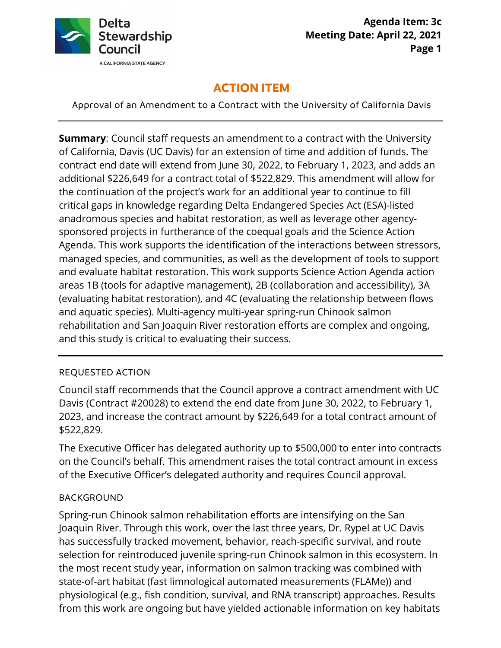

# **ACTION ITEM**

Approval of an Amendment to a Contract with the University of California Davis

 contract end date will extend from June 30, 2022, to February 1, 2023, and adds an additional \$226,649 for a contract total of \$522,829. This amendment will allow for critical gaps in knowledge regarding Delta Endangered Species Act (ESA)-listed anadromous species and habitat restoration, as well as leverage other agency- sponsored projects in furtherance of the coequal goals and the Science Action Agenda. This work supports the identification of the interactions between stressors, rehabilitation and San Joaquin River restoration efforts are complex and ongoing, **Summary**: Council staff requests an amendment to a contract with the University of California, Davis (UC Davis) for an extension of time and addition of funds. The the continuation of the project's work for an additional year to continue to fill managed species, and communities, as well as the development of tools to support and evaluate habitat restoration. This work supports Science Action Agenda action areas 1B (tools for adaptive management), 2B (collaboration and accessibility), 3A (evaluating habitat restoration), and 4C (evaluating the relationship between flows and aquatic species). Multi-agency multi-year spring-run Chinook salmon and this study is critical to evaluating their success.

## REQUESTED ACTION

Council staff recommends that the Council approve a contract amendment with UC Davis (Contract #20028) to extend the end date from June 30, 2022, to February 1, 2023, and increase the contract amount by \$226,649 for a total contract amount of \$522,829.

The Executive Officer has delegated authority up to \$500,000 to enter into contracts on the Council's behalf. This amendment raises the total contract amount in excess of the Executive Officer's delegated authority and requires Council approval.

## BACKGROUND

Spring-run Chinook salmon rehabilitation efforts are intensifying on the San Joaquin River. Through this work, over the last three years, Dr. Rypel at UC Davis has successfully tracked movement, behavior, reach-specific survival, and route selection for reintroduced juvenile spring-run Chinook salmon in this ecosystem. In the most recent study year, information on salmon tracking was combined with state-of-art habitat (fast limnological automated measurements (FLAMe)) and physiological (e.g., fish condition, survival, and RNA transcript) approaches. Results from this work are ongoing but have yielded actionable information on key habitats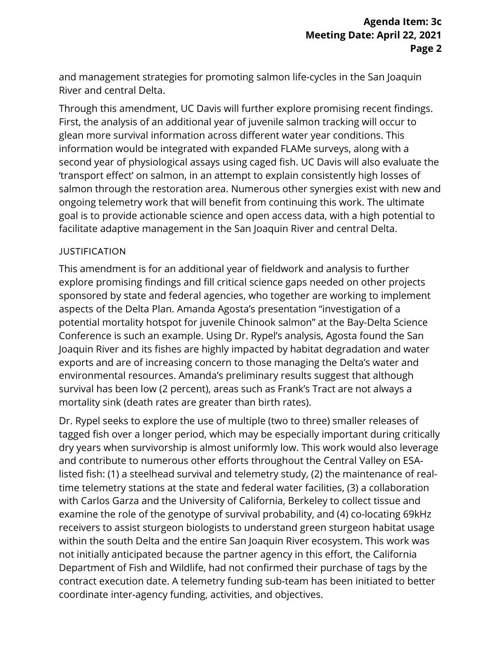and management strategies for promoting salmon life-cycles in the San Joaquin River and central Delta.

 ongoing telemetry work that will benefit from continuing this work. The ultimate Through this amendment, UC Davis will further explore promising recent findings. First, the analysis of an additional year of juvenile salmon tracking will occur to glean more survival information across different water year conditions. This information would be integrated with expanded FLAMe surveys, along with a second year of physiological assays using caged fish. UC Davis will also evaluate the 'transport effect' on salmon, in an attempt to explain consistently high losses of salmon through the restoration area. Numerous other synergies exist with new and goal is to provide actionable science and open access data, with a high potential to facilitate adaptive management in the San Joaquin River and central Delta.

#### JUSTIFICATION

 exports and are of increasing concern to those managing the Delta's water and This amendment is for an additional year of fieldwork and analysis to further explore promising findings and fill critical science gaps needed on other projects sponsored by state and federal agencies, who together are working to implement aspects of the Delta Plan. Amanda Agosta's presentation "investigation of a potential mortality hotspot for juvenile Chinook salmon" at the Bay-Delta Science Conference is such an example. Using Dr. Rypel's analysis, Agosta found the San Joaquin River and its fishes are highly impacted by habitat degradation and water environmental resources. Amanda's preliminary results suggest that although survival has been low (2 percent), areas such as Frank's Tract are not always a mortality sink (death rates are greater than birth rates).

 dry years when survivorship is almost uniformly low. This work would also leverage examine the role of the genotype of survival probability, and (4) co-locating 69kHz within the south Delta and the entire San Joaquin River ecosystem. This work was not initially anticipated because the partner agency in this effort, the California Dr. Rypel seeks to explore the use of multiple (two to three) smaller releases of tagged fish over a longer period, which may be especially important during critically and contribute to numerous other efforts throughout the Central Valley on ESAlisted fish: (1) a steelhead survival and telemetry study, (2) the maintenance of realtime telemetry stations at the state and federal water facilities, (3) a collaboration with Carlos Garza and the University of California, Berkeley to collect tissue and receivers to assist sturgeon biologists to understand green sturgeon habitat usage Department of Fish and Wildlife, had not confirmed their purchase of tags by the contract execution date. A telemetry funding sub-team has been initiated to better coordinate inter-agency funding, activities, and objectives.